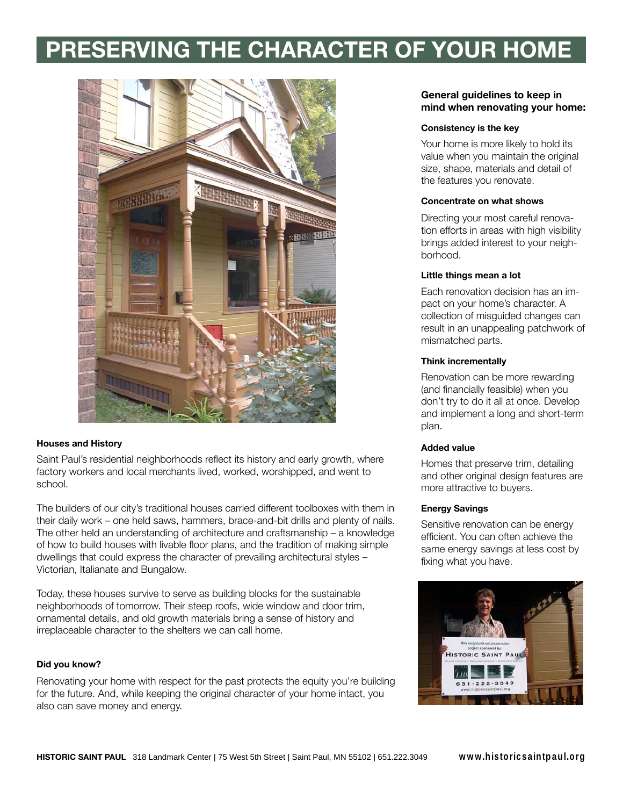# **PRESERVING THE CHARACTER OF YOUR HOME**



## **Houses and History**

Saint Paul's residential neighborhoods reflect its history and early growth, where factory workers and local merchants lived, worked, worshipped, and went to school.

The builders of our city's traditional houses carried different toolboxes with them in their daily work – one held saws, hammers, brace-and-bit drills and plenty of nails. The other held an understanding of architecture and craftsmanship – a knowledge of how to build houses with livable floor plans, and the tradition of making simple dwellings that could express the character of prevailing architectural styles – Victorian, Italianate and Bungalow.

Today, these houses survive to serve as building blocks for the sustainable neighborhoods of tomorrow. Their steep roofs, wide window and door trim, ornamental details, and old growth materials bring a sense of history and irreplaceable character to the shelters we can call home.

#### **Did you know?**

Renovating your home with respect for the past protects the equity you're building for the future. And, while keeping the original character of your home intact, you also can save money and energy.

## **General guidelines to keep in mind when renovating your home:**

#### **Consistency is the key**

Your home is more likely to hold its value when you maintain the original size, shape, materials and detail of the features you renovate.

#### **Concentrate on what shows**

Directing your most careful renovation efforts in areas with high visibility brings added interest to your neighborhood.

## **Little things mean a lot**

Each renovation decision has an impact on your home's character. A collection of misguided changes can result in an unappealing patchwork of mismatched parts.

#### **Think incrementally**

Renovation can be more rewarding (and financially feasible) when you don't try to do it all at once. Develop and implement a long and short-term plan.

#### **Added value**

Homes that preserve trim, detailing and other original design features are more attractive to buyers.

#### **Energy Savings**

Sensitive renovation can be energy efficient. You can often achieve the same energy savings at less cost by fixing what you have.